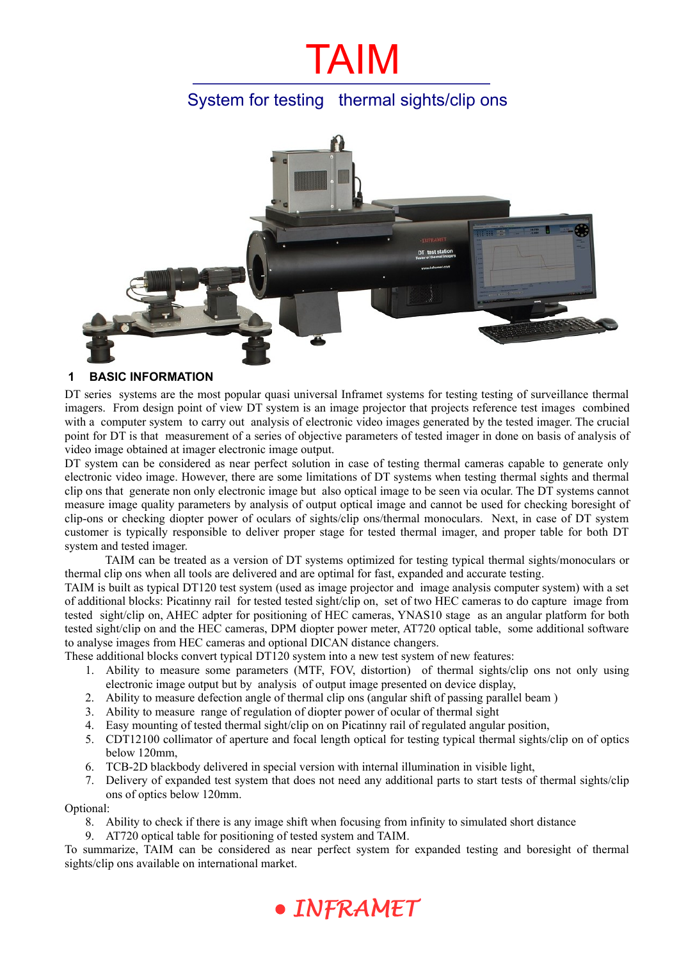# TAIM

# System for testing thermal sights/clip ons



### **1 BASIC INFORMATION**

DT series systems are the most popular quasi universal Inframet systems for testing testing of surveillance thermal imagers. From design point of view DT system is an image projector that projects reference test images combined with a computer system to carry out analysis of electronic video images generated by the tested imager. The crucial point for DT is that measurement of a series of objective parameters of tested imager in done on basis of analysis of video image obtained at imager electronic image output.

DT system can be considered as near perfect solution in case of testing thermal cameras capable to generate only electronic video image. However, there are some limitations of DT systems when testing thermal sights and thermal clip ons that generate non only electronic image but also optical image to be seen via ocular. The DT systems cannot measure image quality parameters by analysis of output optical image and cannot be used for checking boresight of clip-ons or checking diopter power of oculars of sights/clip ons/thermal monoculars. Next, in case of DT system customer is typically responsible to deliver proper stage for tested thermal imager, and proper table for both DT system and tested imager.

TAIM can be treated as a version of DT systems optimized for testing typical thermal sights/monoculars or thermal clip ons when all tools are delivered and are optimal for fast, expanded and accurate testing.

TAIM is built as typical DT120 test system (used as image projector and image analysis computer system) with a set of additional blocks: Picatinny rail for tested tested sight/clip on, set of two HEC cameras to do capture image from tested sight/clip on, AHEC adpter for positioning of HEC cameras, YNAS10 stage as an angular platform for both tested sight/clip on and the HEC cameras, DPM diopter power meter, AT720 optical table, some additional software to analyse images from HEC cameras and optional DICAN distance changers.

These additional blocks convert typical DT120 system into a new test system of new features:

- 1. Ability to measure some parameters (MTF, FOV, distortion) of thermal sights/clip ons not only using electronic image output but by analysis of output image presented on device display,
- 2. Ability to measure defection angle of thermal clip ons (angular shift of passing parallel beam )
- 3. Ability to measure range of regulation of diopter power of ocular of thermal sight
- 4. Easy mounting of tested thermal sight/clip on on Picatinny rail of regulated angular position,
- 5. CDT12100 collimator of aperture and focal length optical for testing typical thermal sights/clip on of optics below 120mm,
- 6. TCB-2D blackbody delivered in special version with internal illumination in visible light,
- 7. Delivery of expanded test system that does not need any additional parts to start tests of thermal sights/clip ons of optics below 120mm.

Optional:

- 8. Ability to check if there is any image shift when focusing from infinity to simulated short distance
- 9. AT720 optical table for positioning of tested system and TAIM.

To summarize, TAIM can be considered as near perfect system for expanded testing and boresight of thermal sights/clip ons available on international market.

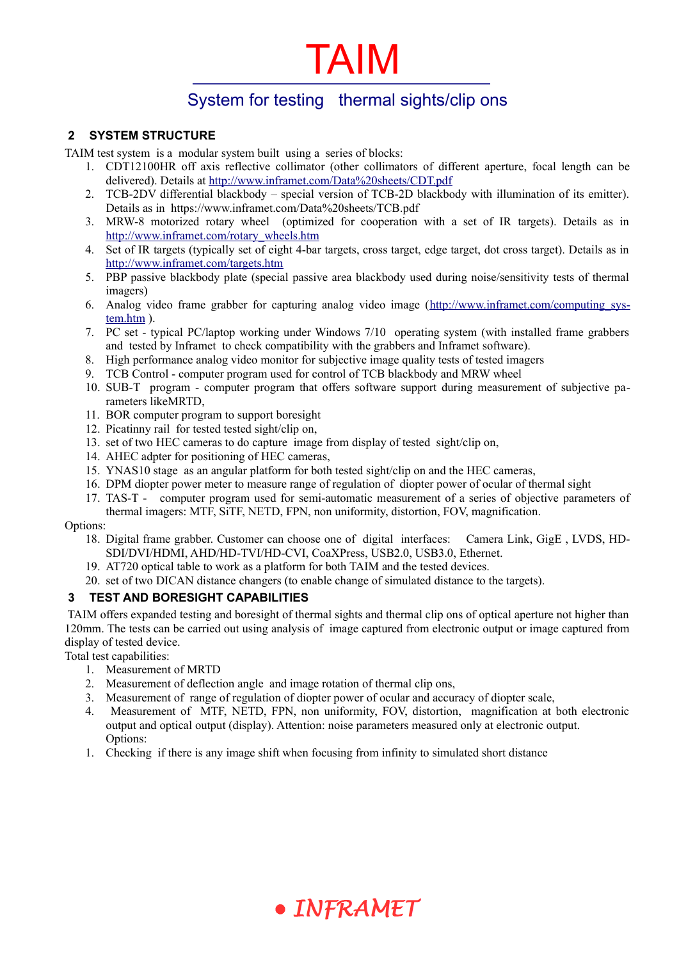# TAIM

# System for testing thermal sights/clip ons

## **2 SYSTEM STRUCTURE**

TAIM test system is a modular system built using a series of blocks:

- 1. CDT12100HR off axis reflective collimator (other collimators of different aperture, focal length can be delivered). Details at<http://www.inframet.com/Data%20sheets/CDT.pdf>
	- 2. TCB-2DV differential blackbody special version of TCB-2D blackbody with illumination of its emitter). Details as in https://www.inframet.com/Data%20sheets/TCB.pdf
	- 3. MRW-8 motorized rotary wheel (optimized for cooperation with a set of IR targets). Details as in [http://www.inframet.com/rotary\\_wheels.htm](http://www.inframet.com/rotary_wheels.htm)
	- 4. Set of IR targets (typically set of eight 4-bar targets, cross target, edge target, dot cross target). Details as in <http://www.inframet.com/targets.htm>
	- 5. PBP passive blackbody plate (special passive area blackbody used during noise/sensitivity tests of thermal imagers)
	- 6. Analog video frame grabber for capturing analog video image (http://www.inframet.com/computing\_sys[tem.htm](http://www.inframet.com/computing_system.htm) ).
	- 7. PC set typical PC/laptop working under Windows 7/10 operating system (with installed frame grabbers and tested by Inframet to check compatibility with the grabbers and Inframet software).
	- 8. High performance analog video monitor for subjective image quality tests of tested imagers
	- 9. TCB Control computer program used for control of TCB blackbody and MRW wheel
	- 10. SUB-T program computer program that offers software support during measurement of subjective parameters likeMRTD,
	- 11. BOR computer program to support boresight
	- 12. Picatinny rail for tested tested sight/clip on,
	- 13. set of two HEC cameras to do capture image from display of tested sight/clip on,
	- 14. AHEC adpter for positioning of HEC cameras,
	- 15. YNAS10 stage as an angular platform for both tested sight/clip on and the HEC cameras,
	- 16. DPM diopter power meter to measure range of regulation of diopter power of ocular of thermal sight
	- 17. TAS-T computer program used for semi-automatic measurement of a series of objective parameters of thermal imagers: MTF, SiTF, NETD, FPN, non uniformity, distortion, FOV, magnification.

#### Options:

- 18. Digital frame grabber. Customer can choose one of digital interfaces: Camera Link, GigE , LVDS, HD-SDI/DVI/HDMI, AHD/HD-TVI/HD-CVI, CoaXPress, USB2.0, USB3.0, Ethernet.
- 19. AT720 optical table to work as a platform for both TAIM and the tested devices.
- 20. set of two DICAN distance changers (to enable change of simulated distance to the targets).

## **3 TEST AND BORESIGHT CAPABILITIES**

 TAIM offers expanded testing and boresight of thermal sights and thermal clip ons of optical aperture not higher than 120mm. The tests can be carried out using analysis of image captured from electronic output or image captured from display of tested device.

Total test capabilities:

- 1. Measurement of MRTD
- 2. Measurement of deflection angle and image rotation of thermal clip ons,
- 3. Measurement of range of regulation of diopter power of ocular and accuracy of diopter scale,
- 4. Measurement of MTF, NETD, FPN, non uniformity, FOV, distortion, magnification at both electronic output and optical output (display). Attention: noise parameters measured only at electronic output. Options:
- 1. Checking if there is any image shift when focusing from infinity to simulated short distance